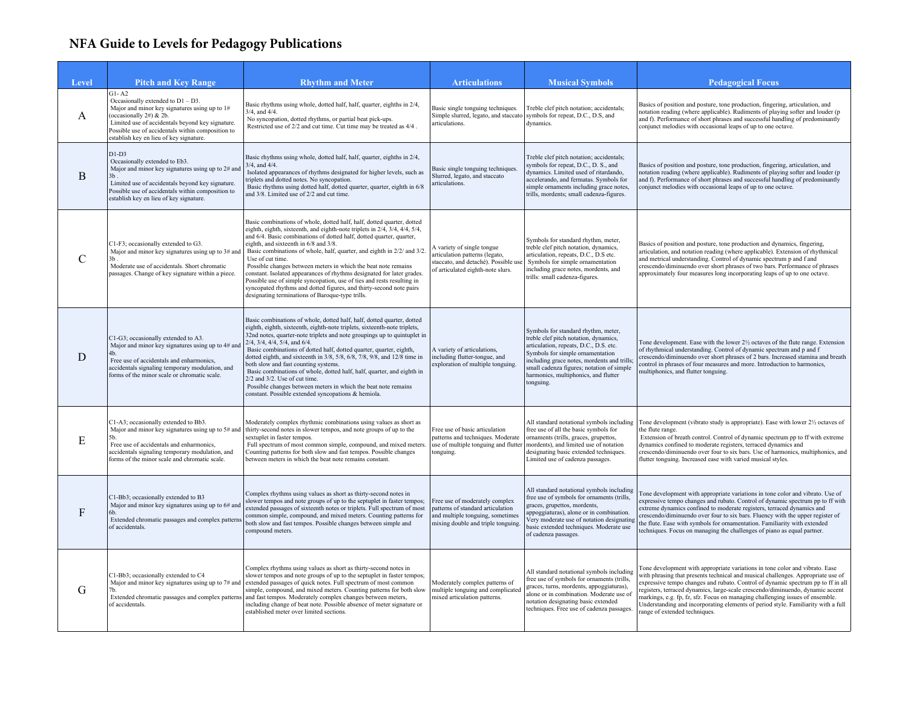## **NFA Guide to Levels for Pedagogy Publications**

| Level          | <b>Pitch and Key Range</b>                                                                                                                                                                                                                                                        | <b>Rhythm and Meter</b>                                                                                                                                                                                                                                                                                                                                                                                                                                                                                                                                                                                                                                                                                               | <b>Articulations</b>                                                                                                                          | <b>Musical Symbols</b>                                                                                                                                                                                                                                                                                     | <b>Pedagogical Focus</b>                                                                                                                                                                                                                                                                                                                                                                                                                                                                                                                      |
|----------------|-----------------------------------------------------------------------------------------------------------------------------------------------------------------------------------------------------------------------------------------------------------------------------------|-----------------------------------------------------------------------------------------------------------------------------------------------------------------------------------------------------------------------------------------------------------------------------------------------------------------------------------------------------------------------------------------------------------------------------------------------------------------------------------------------------------------------------------------------------------------------------------------------------------------------------------------------------------------------------------------------------------------------|-----------------------------------------------------------------------------------------------------------------------------------------------|------------------------------------------------------------------------------------------------------------------------------------------------------------------------------------------------------------------------------------------------------------------------------------------------------------|-----------------------------------------------------------------------------------------------------------------------------------------------------------------------------------------------------------------------------------------------------------------------------------------------------------------------------------------------------------------------------------------------------------------------------------------------------------------------------------------------------------------------------------------------|
| A              | $G1 - A2$<br>Occasionally extended to $D1 - D3$ .<br>Major and minor key signatures using up to 1#<br>(occasionally 2#) & 2b.<br>Limited use of accidentals beyond key signature.<br>Possible use of accidentals within composition to<br>establish key en lieu of key signature. | Basic rhythms using whole, dotted half, half, quarter, eighths in 2/4,<br>$3/4$ , and $4/4$ .<br>No syncopation, dotted rhythms, or partial beat pick-ups.<br>Restricted use of 2/2 and cut time. Cut time may be treated as 4/4.                                                                                                                                                                                                                                                                                                                                                                                                                                                                                     | Basic single tonguing techniques.<br>articulations.                                                                                           | Treble clef pitch notation; accidentals;<br>Simple slurred, legato, and staccato symbols for repeat, D.C., D.S, and<br>dynamics.                                                                                                                                                                           | Basics of position and posture, tone production, fingering, articulation, and<br>notation reading (where applicable). Rudiments of playing softer and louder (p<br>and f). Performance of short phrases and successful handling of predominantly<br>conjunct melodies with occasional leaps of up to one octave.                                                                                                                                                                                                                              |
| $\overline{B}$ | $D1-D3$<br>Occasionally extended to Eb3.<br>Major and minor key signatures using up to 2# and<br>3h<br>Limited use of accidentals beyond key signature.<br>Possible use of accidentals within composition to<br>establish key en lieu of key signature.                           | Basic rhythms using whole, dotted half, half, quarter, eighths in 2/4,<br>$3/4$ , and $4/4$ .<br>Isolated appearances of rhythms designated for higher levels, such as<br>triplets and dotted notes. No syncopation.<br>Basic rhythms using dotted half, dotted quarter, quarter, eighth in 6/8<br>and 3/8. Limited use of 2/2 and cut time.                                                                                                                                                                                                                                                                                                                                                                          | Basic single tonguing techniques.<br>Slurred, legato, and staccato<br>articulations.                                                          | Treble clef pitch notation; accidentals;<br>symbols for repeat, D.C., D. S., and<br>dynamics. Limited used of ritardando,<br>accelerando, and fermatas. Symbols for<br>simple ornaments including grace notes,<br>trills, mordents; small cadenza-figures.                                                 | Basics of position and posture, tone production, fingering, articulation, and<br>notation reading (where applicable). Rudiments of playing softer and louder (p<br>and f). Performance of short phrases and successful handling of predominantly<br>conjunct melodies with occasional leaps of up to one octave.                                                                                                                                                                                                                              |
| $\mathcal{C}$  | C1-F3; occasionally extended to G3.<br>Major and minor key signatures using up to 3# and<br>Moderate use of accidentals. Short chromatic<br>passages. Change of key signature within a piece.                                                                                     | Basic combinations of whole, dotted half, half, dotted quarter, dotted<br>eighth, eighth, sixteenth, and eighth-note triplets in 2/4, 3/4, 4/4, 5/4,<br>and 6/4. Basic combinations of dotted half, dotted quarter, quarter,<br>eighth, and sixteenth in 6/8 and 3/8.<br>Basic combinations of whole, half, quarter, and eighth in 2/2/ and 3/2.<br>Use of cut time.<br>Possible changes between meters in which the beat note remains<br>constant. Isolated appearances of rhythms designated for later grades.<br>Possible use of simple syncopation, use of ties and rests resulting in<br>syncopated rhythms and dotted figures, and thirty-second note pairs<br>designating terminations of Baroque-type trills. | A variety of single tongue<br>articulation patterns (legato,<br>staccato, and detaché). Possible use<br>of articulated eighth-note slurs.     | Symbols for standard rhythm, meter,<br>treble clef pitch notation, dynamics,<br>articulation, repeats, D.C., D.S etc.<br>Symbols for simple ornamentation<br>including grace notes, mordents, and<br>trills: small cadenza-figures.                                                                        | Basics of position and posture, tone production and dynamics, fingering,<br>articulation, and notation reading (where applicable). Extension of rhythmical<br>and metrical understanding. Control of dynamic spectrum p and f and<br>crescendo/diminuendo over short phrases of two bars. Performance of phrases<br>approximately four measures long incorporating leaps of up to one octave.                                                                                                                                                 |
| D              | C1-G3; occasionally extended to A3.<br>Major and minor key signatures using up to 4# and<br>4h<br>Free use of accidentals and enharmonics,<br>accidentals signaling temporary modulation, and<br>forms of the minor scale or chromatic scale.                                     | Basic combinations of whole, dotted half, half, dotted quarter, dotted<br>eighth, eighth, sixteenth, eighth-note triplets, sixteenth-note triplets,<br>32nd notes, quarter-note triplets and note groupings up to quintuplet in<br>2/4, 3/4, 4/4, 5/4, and 6/4.<br>Basic combinations of dotted half, dotted quarter, quarter, eighth,<br>dotted eighth, and sixteenth in 3/8, 5/8, 6/8, 7/8, 9/8, and 12/8 time in<br>both slow and fast counting systems.<br>Basic combinations of whole, dotted half, half, quarter, and eighth in<br>$2/2$ and $3/2$ . Use of cut time.<br>Possible changes between meters in which the beat note remains<br>constant. Possible extended syncopations & hemiola.                  | A variety of articulations,<br>including flutter-tongue, and<br>exploration of multiple tonguing.                                             | Symbols for standard rhythm, meter,<br>treble clef pitch notation, dynamics,<br>articulation, repeats, D.C., D.S. etc.<br>Symbols for simple ornamentation<br>including grace notes, mordents and trills<br>small cadenza figures; notation of simple<br>harmonics, multiphonics, and flutter<br>tonguing. | Tone development. Ease with the lower 2½ octaves of the flute range. Extension<br>of rhythmical understanding. Control of dynamic spectrum and p and f<br>crescendo/diminuendo over short phrases of 2 bars. Increased stamina and breath<br>control in phrases of four measures and more. Introduction to harmonics,<br>multiphonics, and flutter tonguing.                                                                                                                                                                                  |
| E              | C1-A3; occasionally extended to Bb3.<br>Major and minor key signatures using up to 5# and<br>Free use of accidentals and enharmonics,<br>accidentals signaling temporary modulation, and<br>forms of the minor scale and chromatic scale.                                         | Moderately complex rhythmic combinations using values as short as<br>thirty-second notes in slower tempos, and note groups of up to the<br>sextuplet in faster tempos.<br>Full spectrum of most common simple, compound, and mixed meters.<br>Counting patterns for both slow and fast tempos. Possible changes<br>between meters in which the beat note remains constant.                                                                                                                                                                                                                                                                                                                                            | Free use of basic articulation<br>patterns and techniques. Moderate<br>use of multiple tonguing and flutter<br>tonguing.                      | All standard notational symbols including<br>free use of all the basic symbols for<br>ornaments (trills, graces, grupettos,<br>mordents), and limited use of notation<br>designating basic extended techniques.<br>Limited use of cadenza passages.                                                        | Tone development (vibrato study is appropriate). Ease with lower 2½ octaves of<br>the flute range.<br>Extension of breath control. Control of dynamic spectrum pp to ff with extreme<br>dynamics confined to moderate registers, terraced dynamics and<br>crescendo/diminuendo over four to six bars. Use of harmonics, multiphonics, and<br>flutter tonguing. Increased ease with varied musical styles.                                                                                                                                     |
| F              | C1-Bb3; occasionally extended to B3<br>Major and minor key signatures using up to 6# and<br>Extended chromatic passages and complex patterns<br>of accidentals.                                                                                                                   | Complex rhythms using values as short as thirty-second notes in<br>slower tempos and note groups of up to the septuplet in faster tempos;<br>extended passages of sixteenth notes or triplets. Full spectrum of most<br>common simple, compound, and mixed meters. Counting patterns for<br>both slow and fast tempos. Possible changes between simple and<br>compound meters.                                                                                                                                                                                                                                                                                                                                        | Free use of moderately complex<br>patterns of standard articulation<br>and multiple tonguing, sometimes<br>mixing double and triple tonguing. | All standard notational symbols including<br>free use of symbols for ornaments (trills,<br>graces, grupettos, mordents,<br>appoggiaturas), alone or in combination.<br>Very moderate use of notation designating<br>basic extended techniques. Moderate use<br>of cadenza passages.                        | Tone development with appropriate variations in tone color and vibrato. Use of<br>expressive tempo changes and rubato. Control of dynamic spectrum pp to ff with<br>extreme dynamics confined to moderate registers, terraced dynamics and<br>crescendo/diminuendo over four to six bars. Fluency with the upper register of<br>the flute. Ease with symbols for ornamentation. Familiarity with extended<br>techniques. Focus on managing the challenges of piano as equal partner.                                                          |
| G              | C1-Bb3; occasionally extended to C4<br>Major and minor key signatures using up to 7# and<br>7h<br>Extended chromatic passages and complex patterns<br>of accidentals.                                                                                                             | Complex rhythms using values as short as thirty-second notes in<br>slower tempos and note groups of up to the septuplet in faster tempos;<br>extended passages of quick notes. Full spectrum of most common<br>simple, compound, and mixed meters. Counting patterns for both slow<br>and fast tempos. Moderately complex changes between meters,<br>including change of beat note. Possible absence of meter signature or<br>established meter over limited sections.                                                                                                                                                                                                                                                | Moderately complex patterns of<br>multiple tonguing and complicated<br>mixed articulation patterns.                                           | All standard notational symbols including<br>free use of symbols for ornaments (trills,<br>graces, turns, mordents, appoggiaturas),<br>alone or in combination. Moderate use of<br>notation designating basic extended<br>techniques. Free use of cadenza passages                                         | Tone development with appropriate variations in tone color and vibrato. Ease<br>with phrasing that presents technical and musical challenges. Appropriate use of<br>expressive tempo changes and rubato. Control of dynamic spectrum pp to ff in all<br>registers, terraced dynamics, large-scale crescendo/diminuendo, dynamic accent<br>markings, e.g. fp, fz, sfz. Focus on managing challenging issues of ensemble.<br>Understanding and incorporating elements of period style. Familiarity with a full<br>range of extended techniques. |